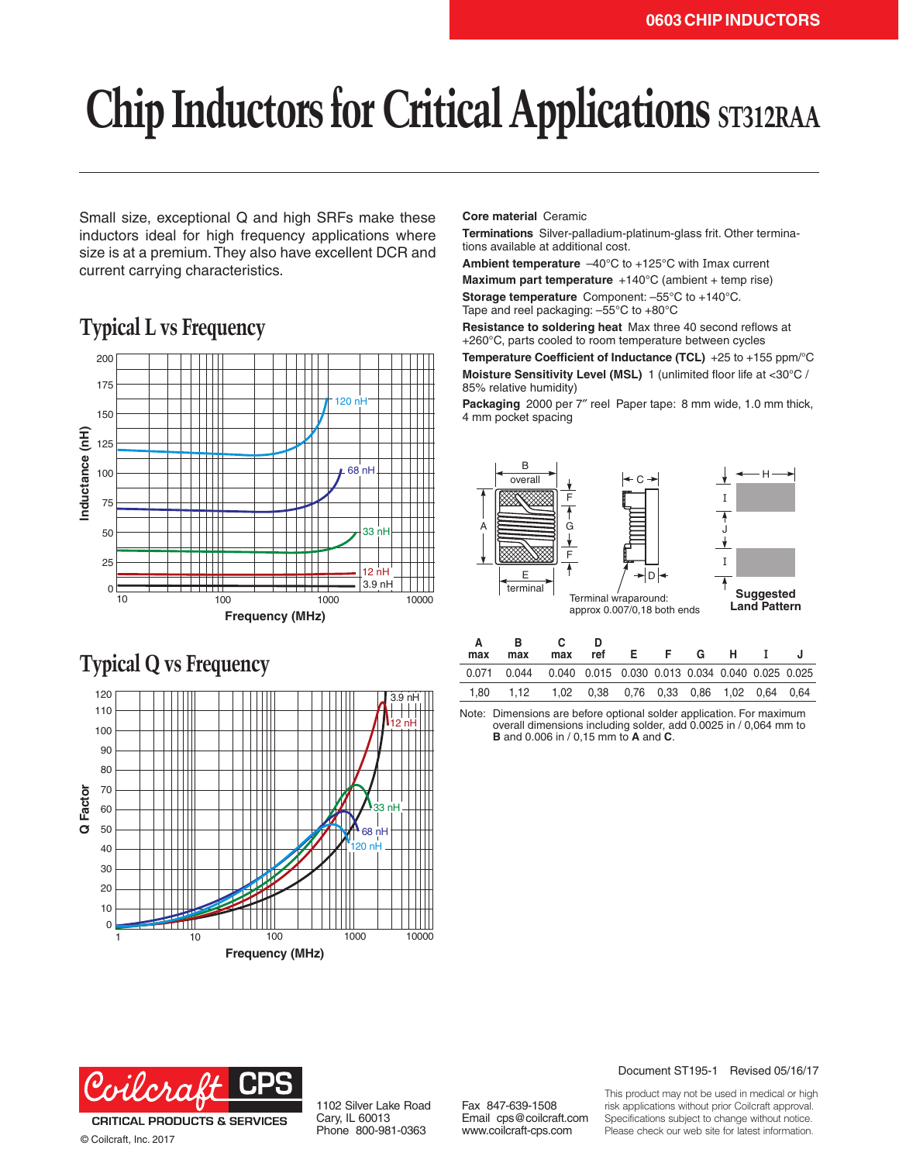# **Chip Inductors for Critical Applications ST312RAA**

Small size, exceptional Q and high SRFs make these inductors ideal for high frequency applications where size is at a premium. They also have excellent DCR and current carrying characteristics.

## **Typical L vs Frequency**



## **Typical Q vs Frequency**



**Core material** Ceramic

**Terminations** Silver-palladium-platinum-glass frit. Other terminations available at additional cost.

**Ambient temperature** –40°C to +125°C with Imax current **Maximum part temperature** +140°C (ambient + temp rise) **Storage temperature** Component: –55°C to +140°C.

Tape and reel packaging: –55°C to +80°C

**Resistance to soldering heat** Max three 40 second reflows at +260°C, parts cooled to room temperature between cycles **Temperature Coefficient of Inductance (TCL)** +25 to +155 ppm/°C

**Moisture Sensitivity Level (MSL)** 1 (unlimited floor life at <30°C / 85% relative humidity)

**Packaging** 2000 per 7″ reel Paper tape: 8 mm wide, 1.0 mm thick, 4 mm pocket spacing



| max  | в<br>max                                                             | max | ref                                     | - F - | G |  |  |
|------|----------------------------------------------------------------------|-----|-----------------------------------------|-------|---|--|--|
|      | 0.071  0.044  0.040  0.015  0.030  0.013  0.034  0.040  0.025  0.025 |     |                                         |       |   |  |  |
| 1.80 | 1,12                                                                 |     | 1,02 0,38 0,76 0,33 0,86 1,02 0,64 0,64 |       |   |  |  |

Note: Dimensions are before optional solder application. For maximum overall dimensions including solder, add 0.0025 in / 0,064 mm to **B** and 0.006 in / 0,15 mm to **A** and **C**.



© Coilcraft, Inc. 2017

1102 Silver Lake Road Cary, IL 60013 Phone 800-981-0363

Fax 847-639-1508 Email cps@coilcraft.com www.coilcraft-cps.com

#### Document ST195-1 Revised 05/16/17

This product may not be used in medical or high risk applications without prior Coilcraft approval. Specifications subject to change without notice. Please check our web site for latest information.